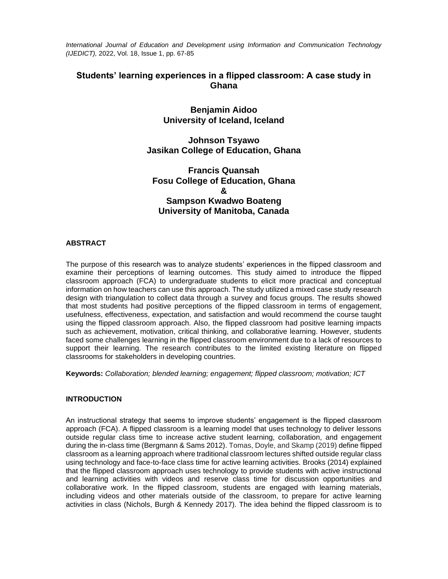*International Journal of Education and Development using Information and Communication Technology (IJEDICT),* 2022, Vol. 18, Issue 1, pp. 67-85

# **Students' learning experiences in a flipped classroom: A case study in Ghana**

# **Benjamin Aidoo University of Iceland, Iceland**

# **Johnson Tsyawo Jasikan College of Education, Ghana**

**Francis Quansah Fosu College of Education, Ghana & Sampson Kwadwo Boateng University of Manitoba, Canada**

# **ABSTRACT**

The purpose of this research was to analyze students' experiences in the flipped classroom and examine their perceptions of learning outcomes. This study aimed to introduce the flipped classroom approach (FCA) to undergraduate students to elicit more practical and conceptual information on how teachers can use this approach. The study utilized a mixed case study research design with triangulation to collect data through a survey and focus groups. The results showed that most students had positive perceptions of the flipped classroom in terms of engagement, usefulness, effectiveness, expectation, and satisfaction and would recommend the course taught using the flipped classroom approach. Also, the flipped classroom had positive learning impacts such as achievement, motivation, critical thinking, and collaborative learning. However, students faced some challenges learning in the flipped classroom environment due to a lack of resources to support their learning. The research contributes to the limited existing literature on flipped classrooms for stakeholders in developing countries.

**Keywords:** *Collaboration; blended learning; engagement; flipped classroom; motivation; ICT*

# **INTRODUCTION**

An instructional strategy that seems to improve students' engagement is the flipped classroom approach (FCA). A flipped classroom is a learning model that uses technology to deliver lessons outside regular class time to increase active student learning, collaboration, and engagement during the in-class time (Bergmann & Sams 2012). Tomas, Doyle, and Skamp (2019) define flipped classroom as a learning approach where traditional classroom lectures shifted outside regular class using technology and face-to-face class time for active learning activities. Brooks (2014) explained that the flipped classroom approach uses technology to provide students with active instructional and learning activities with videos and reserve class time for discussion opportunities and collaborative work. In the flipped classroom, students are engaged with learning materials, including videos and other materials outside of the classroom, to prepare for active learning activities in class (Nichols, Burgh & Kennedy 2017). The idea behind the flipped classroom is to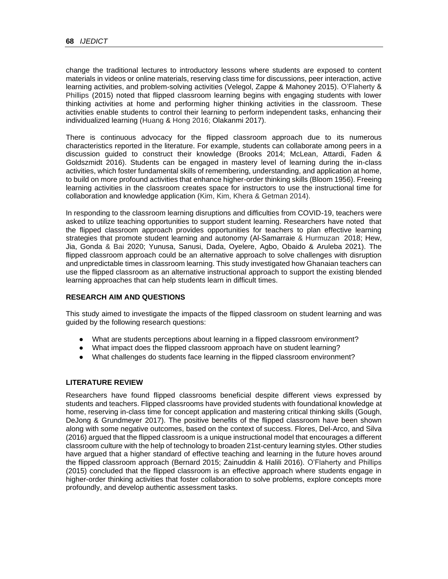change the traditional lectures to introductory lessons where students are exposed to content materials in videos or online materials, reserving class time for discussions, peer interaction, active learning activities, and problem-solving activities (Velegol, Zappe & Mahoney 2015). O'Flaherty & Phillips (2015) noted that flipped classroom learning begins with engaging students with lower thinking activities at home and performing higher thinking activities in the classroom. These activities enable students to control their learning to perform independent tasks, enhancing their individualized learning (Huang & Hong 2016; Olakanmi 2017).

There is continuous advocacy for the flipped classroom approach due to its numerous characteristics reported in the literature. For example, students can collaborate among peers in a discussion guided to construct their knowledge (Brooks 2014; McLean, Attardi, Faden & Goldszmidt 2016). Students can be engaged in mastery level of learning during the in-class activities, which foster fundamental skills of remembering, understanding, and application at home, to build on more profound activities that enhance higher-order thinking skills (Bloom 1956). Freeing learning activities in the classroom creates space for instructors to use the instructional time for collaboration and knowledge application (Kim, Kim, Khera & Getman 2014).

In responding to the classroom learning disruptions and difficulties from COVID-19, teachers were asked to utilize teaching opportunities to support student learning. Researchers have noted that the flipped classroom approach provides opportunities for teachers to plan effective learning strategies that promote student learning and autonomy (Al-Samarraie & Hurmuzan 2018; Hew, Jia, Gonda & Bai 2020; Yunusa, Sanusi, Dada, Oyelere, Agbo, Obaido & Aruleba 2021). The flipped classroom approach could be an alternative approach to solve challenges with disruption and unpredictable times in classroom learning. This study investigated how Ghanaian teachers can use the flipped classroom as an alternative instructional approach to support the existing blended learning approaches that can help students learn in difficult times.

# **RESEARCH AIM AND QUESTIONS**

This study aimed to investigate the impacts of the flipped classroom on student learning and was guided by the following research questions:

- What are students perceptions about learning in a flipped classroom environment?
- What impact does the flipped classroom approach have on student learning?
- What challenges do students face learning in the flipped classroom environment?

# **LITERATURE REVIEW**

Researchers have found flipped classrooms beneficial despite different views expressed by students and teachers. Flipped classrooms have provided students with foundational knowledge at home, reserving in-class time for concept application and mastering critical thinking skills (Gough, DeJong & Grundmeyer 2017). The positive benefits of the flipped classroom have been shown along with some negative outcomes, based on the context of success. Flores, Del-Arco, and Silva (2016) argued that the flipped classroom is a unique instructional model that encourages a different classroom culture with the help of technology to broaden 21st-century learning styles. Other studies have argued that a higher standard of effective teaching and learning in the future hoves around the flipped classroom approach (Bernard 2015; Zainuddin & Halili 2016). O'Flaherty and Phillips (2015) concluded that the flipped classroom is an effective approach where students engage in higher-order thinking activities that foster collaboration to solve problems, explore concepts more profoundly, and develop authentic assessment tasks.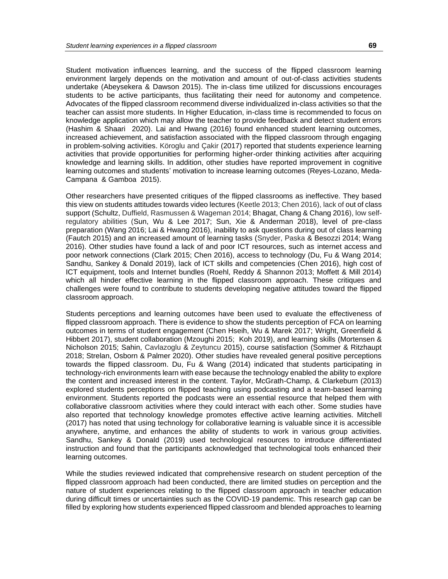Student motivation influences learning, and the success of the flipped classroom learning environment largely depends on the motivation and amount of out-of-class activities students undertake (Abeysekera & Dawson 2015). The in-class time utilized for discussions encourages students to be active participants, thus facilitating their need for autonomy and competence. Advocates of the flipped classroom recommend diverse individualized in-class activities so that the teacher can assist more students. In Higher Education, in-class time is recommended to focus on knowledge application which may allow the teacher to provide feedback and detect student errors (Hashim & Shaari 2020). Lai and Hwang (2016) found enhanced student learning outcomes, increased achievement, and satisfaction associated with the flipped classroom through engaging in problem-solving activities. Köroglu and Çakir (2017) reported that students experience learning activities that provide opportunities for performing higher-order thinking activities after acquiring knowledge and learning skills. In addition, other studies have reported improvement in cognitive learning outcomes and students' motivation to increase learning outcomes (Reyes-Lozano, Meda-Campana & Gamboa 2015).

Other researchers have presented critiques of the flipped classrooms as ineffective. They based this view on students attitudes towards video lectures (Keetle 2013; Chen 2016), lack of out of class support (Schultz, Duffield, Rasmussen & Wageman 2014; Bhagat, Chang & Chang 2016), low selfregulatory abilities (Sun, Wu & Lee 2017; Sun, Xie & Anderman 2018), level of pre-class preparation (Wang 2016; Lai & Hwang 2016), inability to ask questions during out of class learning (Fautch 2015) and an increased amount of learning tasks (Snyder, Paska & Besozzi 2014; Wang 2016). Other studies have found a lack of and poor ICT resources, such as internet access and poor network connections (Clark 2015; Chen 2016), access to technology (Du, Fu & Wang 2014; Sandhu, Sankey & Donald 2019), lack of ICT skills and competencies (Chen 2016), high cost of ICT equipment, tools and Internet bundles (Roehl, Reddy & Shannon 2013; Moffett & Mill 2014) which all hinder effective learning in the flipped classroom approach. These critiques and challenges were found to contribute to students developing negative attitudes toward the flipped classroom approach.

Students perceptions and learning outcomes have been used to evaluate the effectiveness of flipped classroom approach. There is evidence to show the students perception of FCA on learning outcomes in terms of student engagement (Chen Hseih, Wu & Marek 2017; Wright, Greenfield & Hibbert 2017), student collaboration (Mzoughi 2015; Koh 2019), and learning skills (Mortensen & Nicholson 2015; Sahin, Cavlazoglu & Zeytuncu 2015), course satisfaction (Sommer & Ritzhaupt 2018; Strelan, Osborn & Palmer 2020). Other studies have revealed general positive perceptions towards the flipped classroom. Du, Fu & Wang (2014) indicated that students participating in technology-rich environments learn with ease because the technology enabled the ability to explore the content and increased interest in the content. Taylor, McGrath-Champ, & Clarkeburn (2013) explored students perceptions on flipped teaching using podcasting and a team-based learning environment. Students reported the podcasts were an essential resource that helped them with collaborative classroom activities where they could interact with each other. Some studies have also reported that technology knowledge promotes effective active learning activities. Mitchell (2017) has noted that using technology for collaborative learning is valuable since it is accessible anywhere, anytime, and enhances the ability of students to work in various group activities. Sandhu, Sankey & Donald (2019) used technological resources to introduce differentiated instruction and found that the participants acknowledged that technological tools enhanced their learning outcomes.

While the studies reviewed indicated that comprehensive research on student perception of the flipped classroom approach had been conducted, there are limited studies on perception and the nature of student experiences relating to the flipped classroom approach in teacher education during difficult times or uncertainties such as the COVID-19 pandemic. This research gap can be filled by exploring how students experienced flipped classroom and blended approaches to learning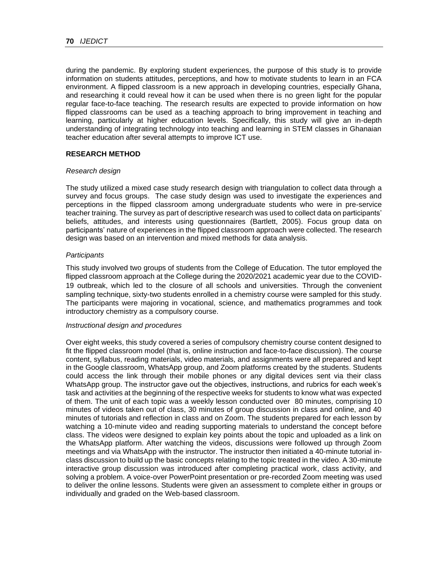during the pandemic. By exploring student experiences, the purpose of this study is to provide information on students attitudes, perceptions, and how to motivate students to learn in an FCA environment. A flipped classroom is a new approach in developing countries, especially Ghana, and researching it could reveal how it can be used when there is no green light for the popular regular face-to-face teaching. The research results are expected to provide information on how flipped classrooms can be used as a teaching approach to bring improvement in teaching and learning, particularly at higher education levels. Specifically, this study will give an in-depth understanding of integrating technology into teaching and learning in STEM classes in Ghanaian teacher education after several attempts to improve ICT use.

### **RESEARCH METHOD**

### *Research design*

The study utilized a mixed case study research design with triangulation to collect data through a survey and focus groups. The case study design was used to investigate the experiences and perceptions in the flipped classroom among undergraduate students who were in pre-service teacher training. The survey as part of descriptive research was used to collect data on participants' beliefs, attitudes, and interests using questionnaires (Bartlett, 2005). Focus group data on participants' nature of experiences in the flipped classroom approach were collected. The research design was based on an intervention and mixed methods for data analysis.

### *Participants*

This study involved two groups of students from the College of Education. The tutor employed the flipped classroom approach at the College during the 2020/2021 academic year due to the COVID-19 outbreak, which led to the closure of all schools and universities. Through the convenient sampling technique, sixty-two students enrolled in a chemistry course were sampled for this study. The participants were majoring in vocational, science, and mathematics programmes and took introductory chemistry as a compulsory course.

### *Instructional design and procedures*

Over eight weeks, this study covered a series of compulsory chemistry course content designed to fit the flipped classroom model (that is, online instruction and face-to-face discussion). The course content, syllabus, reading materials, video materials, and assignments were all prepared and kept in the Google classroom, WhatsApp group, and Zoom platforms created by the students. Students could access the link through their mobile phones or any digital devices sent via their class WhatsApp group. The instructor gave out the objectives, instructions, and rubrics for each week's task and activities at the beginning of the respective weeks for students to know what was expected of them. The unit of each topic was a weekly lesson conducted over 80 minutes, comprising 10 minutes of videos taken out of class, 30 minutes of group discussion in class and online, and 40 minutes of tutorials and reflection in class and on Zoom. The students prepared for each lesson by watching a 10-minute video and reading supporting materials to understand the concept before class. The videos were designed to explain key points about the topic and uploaded as a link on the WhatsApp platform. After watching the videos, discussions were followed up through Zoom meetings and via WhatsApp with the instructor. The instructor then initiated a 40-minute tutorial inclass discussion to build up the basic concepts relating to the topic treated in the video. A 30-minute interactive group discussion was introduced after completing practical work, class activity, and solving a problem. A voice-over PowerPoint presentation or pre-recorded Zoom meeting was used to deliver the online lessons. Students were given an assessment to complete either in groups or individually and graded on the Web-based classroom.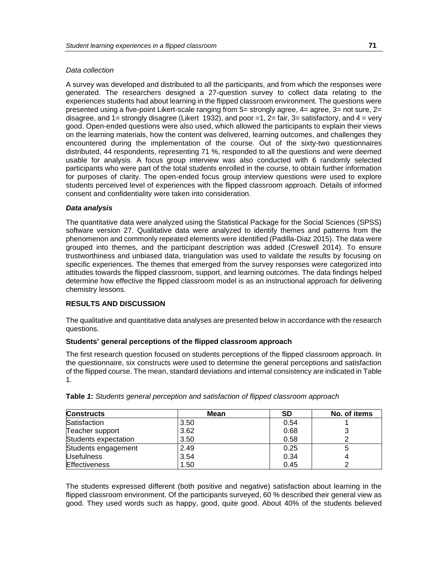## *Data collection*

A survey was developed and distributed to all the participants, and from which the responses were generated. The researchers designed a 27-question survey to collect data relating to the experiences students had about learning in the flipped classroom environment. The questions were presented using a five-point Likert-scale ranging from 5= strongly agree, 4= agree, 3= not sure, 2= disagree, and  $1=$  strongly disagree (Likert 1932), and poor  $=1$ ,  $2=$  fair,  $3=$  satisfactory, and  $4=$  very good. Open-ended questions were also used, which allowed the participants to explain their views on the learning materials, how the content was delivered, learning outcomes, and challenges they encountered during the implementation of the course. Out of the sixty-two questionnaires distributed, 44 respondents, representing 71 %, responded to all the questions and were deemed usable for analysis. A focus group interview was also conducted with 6 randomly selected participants who were part of the total students enrolled in the course, to obtain further information for purposes of clarity. The open-ended focus group interview questions were used to explore students perceived level of experiences with the flipped classroom approach. Details of informed consent and confidentiality were taken into consideration.

### *Data analysis*

The quantitative data were analyzed using the Statistical Package for the Social Sciences (SPSS) software version 27. Qualitative data were analyzed to identify themes and patterns from the phenomenon and commonly repeated elements were identified (Padilla-Diaz 2015). The data were grouped into themes, and the participant description was added (Creswell 2014). To ensure trustworthiness and unbiased data, triangulation was used to validate the results by focusing on specific experiences. The themes that emerged from the survey responses were categorized into attitudes towards the flipped classroom, support, and learning outcomes. The data findings helped determine how effective the flipped classroom model is as an instructional approach for delivering chemistry lessons.

# **RESULTS AND DISCUSSION**

The qualitative and quantitative data analyses are presented below in accordance with the research questions.

### **Students' general perceptions of the flipped classroom approach**

The first research question focused on students perceptions of the flipped classroom approach. In the questionnaire, six constructs were used to determine the general perceptions and satisfaction of the flipped course. The mean, standard deviations and internal consistency are indicated in Table 1.

| <b>Constructs</b>    | <b>Mean</b> | <b>SD</b> | No. of items |  |
|----------------------|-------------|-----------|--------------|--|
| Satisfaction         | 3.50        | 0.54      |              |  |
| Teacher support      | 3.62        | 0.68      | ◠            |  |
| Students expectation | 3.50        | 0.58      |              |  |
| Students engagement  | 2.49        | 0.25      |              |  |
| <b>Usefulness</b>    | 3.54        | 0.34      |              |  |
| <b>Effectiveness</b> | 1.50        | 0.45      |              |  |

|  |  |  | Table 1: Students general perception and satisfaction of flipped classroom approach |  |  |  |
|--|--|--|-------------------------------------------------------------------------------------|--|--|--|
|--|--|--|-------------------------------------------------------------------------------------|--|--|--|

The students expressed different (both positive and negative) satisfaction about learning in the flipped classroom environment. Of the participants surveyed, 60 % described their general view as good. They used words such as happy, good, quite good. About 40% of the students believed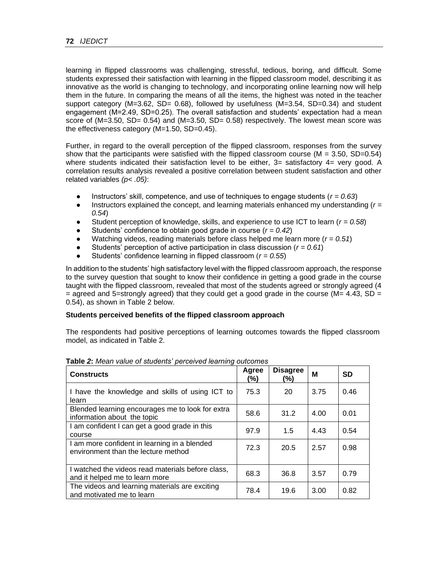learning in flipped classrooms was challenging, stressful, tedious, boring, and difficult. Some students expressed their satisfaction with learning in the flipped classroom model, describing it as innovative as the world is changing to technology, and incorporating online learning now will help them in the future. In comparing the means of all the items, the highest was noted in the teacher support category (M=3.62, SD= 0.68), followed by usefulness (M=3.54, SD=0.34) and student engagement (M=2.49, SD=0.25). The overall satisfaction and students' expectation had a mean score of (M=3.50, SD= 0.54) and (M=3.50, SD= 0.58) respectively. The lowest mean score was the effectiveness category (M=1.50, SD=0.45).

Further, in regard to the overall perception of the flipped classroom, responses from the survey show that the participants were satisfied with the flipped classroom course ( $M = 3.50$ , SD=0.54) where students indicated their satisfaction level to be either,  $3=$  satisfactory  $4=$  very good. A correlation results analysis revealed a positive correlation between student satisfaction and other related variables *(p< .05)*:

- Instructors' skill, competence, and use of techniques to engage students ( $r = 0.63$ )
- Instructors explained the concept, and learning materials enhanced my understanding (*r = 0.54*)
- Student perception of knowledge, skills, and experience to use ICT to learn ( $r = 0.58$ )
- Students' confidence to obtain good grade in course  $(r = 0.42)$
- Watching videos, reading materials before class helped me learn more  $(r = 0.51)$
- Students' perception of active participation in class discussion ( $r = 0.61$ )
- Students' confidence learning in flipped classroom ( $r = 0.55$ )

In addition to the students' high satisfactory level with the flipped classroom approach, the response to the survey question that sought to know their confidence in getting a good grade in the course taught with the flipped classroom, revealed that most of the students agreed or strongly agreed (4  $=$  agreed and 5=strongly agreed) that they could get a good grade in the course (M= 4.43, SD = 0.54), as shown in Table 2 below.

# **Students perceived benefits of the flipped classroom approach**

The respondents had positive perceptions of learning outcomes towards the flipped classroom model, as indicated in Table 2.

| <b>Constructs</b>                                                                   | Agree<br>(%) | <b>Disagree</b><br>(%) | М    | <b>SD</b> |
|-------------------------------------------------------------------------------------|--------------|------------------------|------|-----------|
| I have the knowledge and skills of using ICT to<br>learn                            | 75.3         | 20                     | 3.75 | 0.46      |
| Blended learning encourages me to look for extra<br>information about the topic     | 58.6         | 31.2                   | 4.00 | 0.01      |
| I am confident I can get a good grade in this<br>course                             | 97.9         | 1.5                    | 4.43 | 0.54      |
| I am more confident in learning in a blended<br>environment than the lecture method | 72.3         | 20.5                   | 2.57 | 0.98      |
| I watched the videos read materials before class,<br>and it helped me to learn more | 68.3         | 36.8                   | 3.57 | 0.79      |
| The videos and learning materials are exciting<br>and motivated me to learn         | 78.4         | 19.6                   | 3.00 | 0.82      |

**Table** *2***:** *Mean value of students' perceived learning outcomes*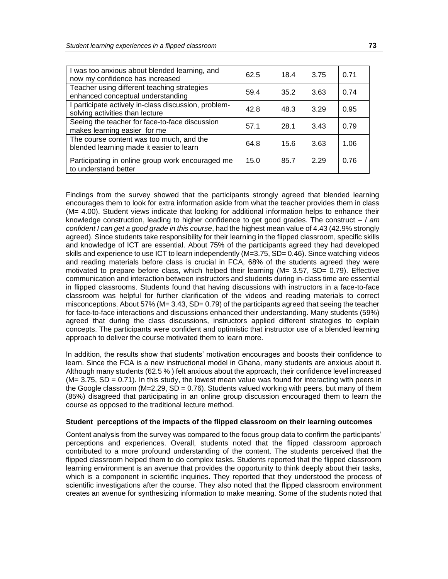| I was too anxious about blended learning, and<br>now my confidence has increased        | 62.5 | 18.4 | 3.75 | 0.71 |
|-----------------------------------------------------------------------------------------|------|------|------|------|
| Teacher using different teaching strategies<br>enhanced conceptual understanding        | 59.4 | 35.2 | 3.63 | 0.74 |
| I participate actively in-class discussion, problem-<br>solving activities than lecture | 42.8 | 48.3 | 3.29 | 0.95 |
| Seeing the teacher for face-to-face discussion<br>makes learning easier for me          | 57.1 | 28.1 | 3.43 | 0.79 |
| The course content was too much, and the<br>blended learning made it easier to learn    | 64.8 | 15.6 | 3.63 | 1.06 |
| Participating in online group work encouraged me<br>to understand better                | 15.0 | 85.7 | 2.29 | 0.76 |

Findings from the survey showed that the participants strongly agreed that blended learning encourages them to look for extra information aside from what the teacher provides them in class (M= 4.00). Student views indicate that looking for additional information helps to enhance their knowledge construction, leading to higher confidence to get good grades. The construct – *I am confident I can get a good grade in this course*, had the highest mean value of 4.43 (42.9% strongly agreed). Since students take responsibility for their learning in the flipped classroom, specific skills and knowledge of ICT are essential. About 75% of the participants agreed they had developed skills and experience to use ICT to learn independently (M=3.75, SD= 0.46). Since watching videos and reading materials before class is crucial in FCA, 68% of the students agreed they were motivated to prepare before class, which helped their learning (M= 3.57, SD= 0.79). Effective communication and interaction between instructors and students during in-class time are essential in flipped classrooms. Students found that having discussions with instructors in a face-to-face classroom was helpful for further clarification of the videos and reading materials to correct misconceptions. About 57% ( $M = 3.43$ ,  $SD = 0.79$ ) of the participants agreed that seeing the teacher for face-to-face interactions and discussions enhanced their understanding. Many students (59%) agreed that during the class discussions, instructors applied different strategies to explain concepts. The participants were confident and optimistic that instructor use of a blended learning approach to deliver the course motivated them to learn more.

In addition, the results show that students' motivation encourages and boosts their confidence to learn. Since the FCA is a new instructional model in Ghana, many students are anxious about it. Although many students (62.5 % ) felt anxious about the approach, their confidence level increased  $(M= 3.75, SD = 0.71)$ . In this study, the lowest mean value was found for interacting with peers in the Google classroom ( $M=2.29$ ,  $SD = 0.76$ ). Students valued working with peers, but many of them (85%) disagreed that participating in an online group discussion encouraged them to learn the course as opposed to the traditional lecture method.

### **Student perceptions of the impacts of the flipped classroom on their learning outcomes**

Content analysis from the survey was compared to the focus group data to confirm the participants' perceptions and experiences. Overall, students noted that the flipped classroom approach contributed to a more profound understanding of the content. The students perceived that the flipped classroom helped them to do complex tasks. Students reported that the flipped classroom learning environment is an avenue that provides the opportunity to think deeply about their tasks, which is a component in scientific inquiries. They reported that they understood the process of scientific investigations after the course. They also noted that the flipped classroom environment creates an avenue for synthesizing information to make meaning. Some of the students noted that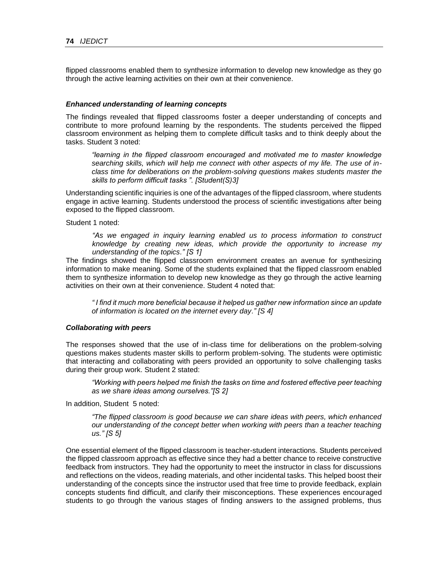flipped classrooms enabled them to synthesize information to develop new knowledge as they go through the active learning activities on their own at their convenience.

### *Enhanced understanding of learning concepts*

The findings revealed that flipped classrooms foster a deeper understanding of concepts and contribute to more profound learning by the respondents. The students perceived the flipped classroom environment as helping them to complete difficult tasks and to think deeply about the tasks. Student 3 noted:

*"learning in the flipped classroom encouraged and motivated me to master knowledge searching skills, which will help me connect with other aspects of my life. The use of inclass time for deliberations on the problem-solving questions makes students master the skills to perform difficult tasks ". [Student(S)3]*

Understanding scientific inquiries is one of the advantages of the flipped classroom, where students engage in active learning. Students understood the process of scientific investigations after being exposed to the flipped classroom.

### Student 1 noted:

*"As we engaged in inquiry learning enabled us to process information to construct knowledge by creating new ideas, which provide the opportunity to increase my understanding of the topics." [S 1]*

The findings showed the flipped classroom environment creates an avenue for synthesizing information to make meaning. Some of the students explained that the flipped classroom enabled them to synthesize information to develop new knowledge as they go through the active learning activities on their own at their convenience. Student 4 noted that:

*" I find it much more beneficial because it helped us gather new information since an update of information is located on the internet every day." [S 4]*

#### *Collaborating with peers*

The responses showed that the use of in-class time for deliberations on the problem-solving questions makes students master skills to perform problem-solving. The students were optimistic that interacting and collaborating with peers provided an opportunity to solve challenging tasks during their group work. Student 2 stated:

*"Working with peers helped me finish the tasks on time and fostered effective peer teaching as we share ideas among ourselves."[S 2]*

In addition, Student 5 noted:

*"The flipped classroom is good because we can share ideas with peers, which enhanced our understanding of the concept better when working with peers than a teacher teaching us." [S 5]*

One essential element of the flipped classroom is teacher-student interactions. Students perceived the flipped classroom approach as effective since they had a better chance to receive constructive feedback from instructors. They had the opportunity to meet the instructor in class for discussions and reflections on the videos, reading materials, and other incidental tasks. This helped boost their understanding of the concepts since the instructor used that free time to provide feedback, explain concepts students find difficult, and clarify their misconceptions. These experiences encouraged students to go through the various stages of finding answers to the assigned problems, thus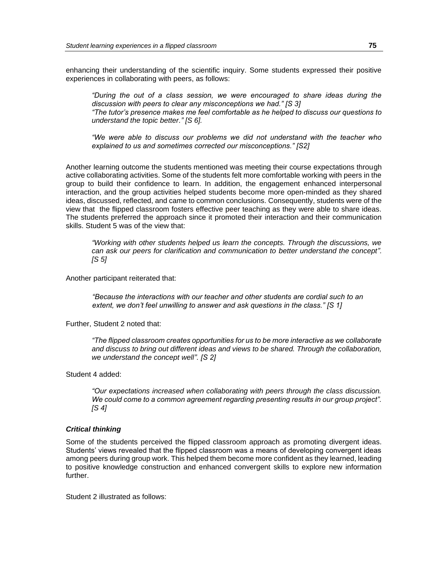enhancing their understanding of the scientific inquiry. Some students expressed their positive experiences in collaborating with peers, as follows:

*"During the out of a class session, we were encouraged to share ideas during the discussion with peers to clear any misconceptions we had." [S 3] "The tutor's presence makes me feel comfortable as he helped to discuss our questions to* 

*understand the topic better." [S 6].*

*"We were able to discuss our problems we did not understand with the teacher who explained to us and sometimes corrected our misconceptions." [S2]*

Another learning outcome the students mentioned was meeting their course expectations through active collaborating activities. Some of the students felt more comfortable working with peers in the group to build their confidence to learn. In addition, the engagement enhanced interpersonal interaction, and the group activities helped students become more open-minded as they shared ideas, discussed, reflected, and came to common conclusions. Consequently, students were of the view that the flipped classroom fosters effective peer teaching as they were able to share ideas. The students preferred the approach since it promoted their interaction and their communication skills. Student 5 was of the view that:

*"Working with other students helped us learn the concepts. Through the discussions, we can ask our peers for clarification and communication to better understand the concept". [S 5]*

Another participant reiterated that:

*"Because the interactions with our teacher and other students are cordial such to an extent, we don't feel unwilling to answer and ask questions in the class." [S 1]*

Further, Student 2 noted that:

*"The flipped classroom creates opportunities for us to be more interactive as we collaborate and discuss to bring out different ideas and views to be shared. Through the collaboration, we understand the concept well". [S 2]*

Student 4 added:

*"Our expectations increased when collaborating with peers through the class discussion. We could come to a common agreement regarding presenting results in our group project". [S 4]*

### *Critical thinking*

Some of the students perceived the flipped classroom approach as promoting divergent ideas. Students' views revealed that the flipped classroom was a means of developing convergent ideas among peers during group work. This helped them become more confident as they learned, leading to positive knowledge construction and enhanced convergent skills to explore new information further.

Student 2 illustrated as follows: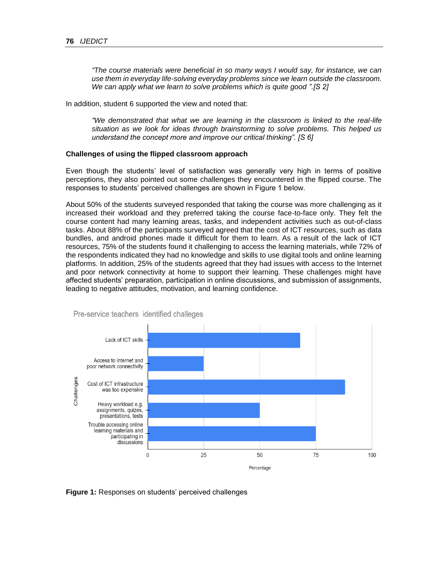*"The course materials were beneficial in so many ways I would say, for instance, we can use them in everyday life-solving everyday problems since we learn outside the classroom. We can apply what we learn to solve problems which is quite good ".[S 2]*

In addition, student 6 supported the view and noted that:

*"We demonstrated that what we are learning in the classroom is linked to the real-life situation as we look for ideas through brainstorming to solve problems. This helped us understand the concept more and improve our critical thinking". [S 6]*

### **Challenges of using the flipped classroom approach**

Even though the students' level of satisfaction was generally very high in terms of positive perceptions, they also pointed out some challenges they encountered in the flipped course. The responses to students' perceived challenges are shown in Figure 1 below.

About 50% of the students surveyed responded that taking the course was more challenging as it increased their workload and they preferred taking the course face-to-face only. They felt the course content had many learning areas, tasks, and independent activities such as out-of-class tasks. About 88% of the participants surveyed agreed that the cost of ICT resources, such as data bundles, and android phones made it difficult for them to learn. As a result of the lack of ICT resources, 75% of the students found it challenging to access the learning materials, while 72% of the respondents indicated they had no knowledge and skills to use digital tools and online learning platforms. In addition, 25% of the students agreed that they had issues with access to the Internet and poor network connectivity at home to support their learning. These challenges might have affected students' preparation, participation in online discussions, and submission of assignments, leading to negative attitudes, motivation, and learning confidence.



Pre-service teachers identified challeges

**Figure 1:** Responses on students' perceived challenges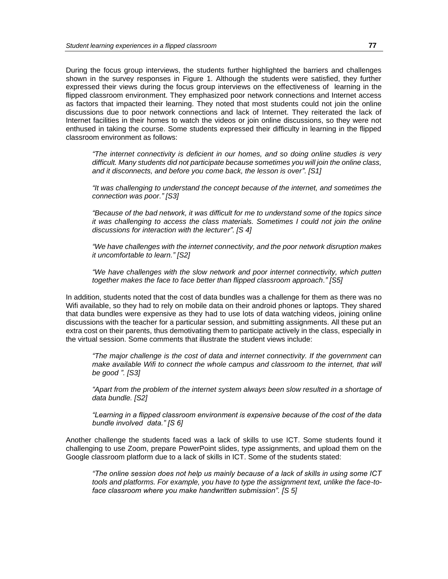During the focus group interviews, the students further highlighted the barriers and challenges shown in the survey responses in Figure 1. Although the students were satisfied, they further expressed their views during the focus group interviews on the effectiveness of learning in the flipped classroom environment. They emphasized poor network connections and Internet access as factors that impacted their learning. They noted that most students could not join the online discussions due to poor network connections and lack of Internet. They reiterated the lack of Internet facilities in their homes to watch the videos or join online discussions, so they were not enthused in taking the course. Some students expressed their difficulty in learning in the flipped classroom environment as follows:

*"The internet connectivity is deficient in our homes, and so doing online studies is very difficult. Many students did not participate because sometimes you will join the online class, and it disconnects, and before you come back, the lesson is over". [S1]*

*"It was challenging to understand the concept because of the internet, and sometimes the connection was poor." [S3]*

*"Because of the bad network, it was difficult for me to understand some of the topics since it was challenging to access the class materials. Sometimes I could not join the online discussions for interaction with the lecturer". [S 4]*

*"We have challenges with the internet connectivity, and the poor network disruption makes it uncomfortable to learn." [S2]*

*"We have challenges with the slow network and poor internet connectivity, which putten together makes the face to face better than flipped classroom approach." [S5]*

In addition, students noted that the cost of data bundles was a challenge for them as there was no Wifi available, so they had to rely on mobile data on their android phones or laptops. They shared that data bundles were expensive as they had to use lots of data watching videos, joining online discussions with the teacher for a particular session, and submitting assignments. All these put an extra cost on their parents, thus demotivating them to participate actively in the class, especially in the virtual session. Some comments that illustrate the student views include:

*"The major challenge is the cost of data and internet connectivity. If the government can make available Wifi to connect the whole campus and classroom to the internet, that will be good ". [S3]*

*"Apart from the problem of the internet system always been slow resulted in a shortage of data bundle. [S2]*

*"Learning in a flipped classroom environment is expensive because of the cost of the data bundle involved data." [S 6]*

Another challenge the students faced was a lack of skills to use ICT. Some students found it challenging to use Zoom, prepare PowerPoint slides, type assignments, and upload them on the Google classroom platform due to a lack of skills in ICT. Some of the students stated:

*"The online session does not help us mainly because of a lack of skills in using some ICT tools and platforms. For example, you have to type the assignment text, unlike the face-toface classroom where you make handwritten submission". [S 5]*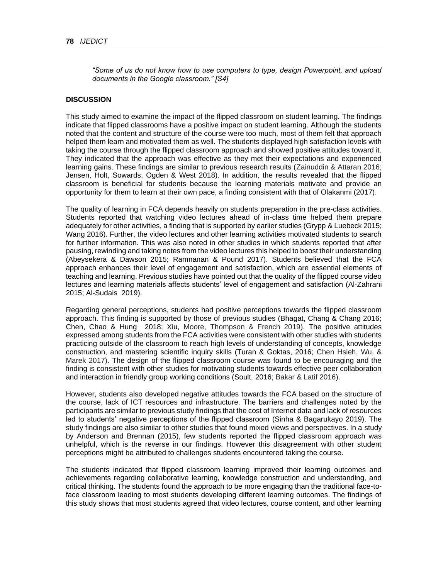*"Some of us do not know how to use computers to type, design Powerpoint, and upload documents in the Google classroom." [S4]*

### **DISCUSSION**

This study aimed to examine the impact of the flipped classroom on student learning. The findings indicate that flipped classrooms have a positive impact on student learning. Although the students noted that the content and structure of the course were too much, most of them felt that approach helped them learn and motivated them as well. The students displayed high satisfaction levels with taking the course through the flipped classroom approach and showed positive attitudes toward it. They indicated that the approach was effective as they met their expectations and experienced learning gains. These findings are similar to previous research results (Zainuddin & Attaran 2016; Jensen, Holt, Sowards, Ogden & West 2018). In addition, the results revealed that the flipped classroom is beneficial for students because the learning materials motivate and provide an opportunity for them to learn at their own pace, a finding consistent with that of Olakanmi (2017).

The quality of learning in FCA depends heavily on students preparation in the pre-class activities. Students reported that watching video lectures ahead of in-class time helped them prepare adequately for other activities, a finding that is supported by earlier studies (Grypp & Luebeck 2015; Wang 2016). Further, the video lectures and other learning activities motivated students to search for further information. This was also noted in other studies in which students reported that after pausing, rewinding and taking notes from the video lectures this helped to boost their understanding (Abeysekera & Dawson 2015; Ramnanan & Pound 2017). Students believed that the FCA approach enhances their level of engagement and satisfaction, which are essential elements of teaching and learning. Previous studies have pointed out that the quality of the flipped course video lectures and learning materials affects students' level of engagement and satisfaction (Al-Zahrani 2015; Al-Sudais 2019).

Regarding general perceptions, students had positive perceptions towards the flipped classroom approach. This finding is supported by those of previous studies (Bhagat, Chang & Chang 2016; Chen, Chao & Hung 2018; Xiu, Moore, Thompson & French 2019). The positive attitudes expressed among students from the FCA activities were consistent with other studies with students practicing outside of the classroom to reach high levels of understanding of concepts, knowledge construction, and mastering scientific inquiry skills (Turan & Goktas, 2016; Chen Hsieh, Wu, & Marek 2017). The design of the flipped classroom course was found to be encouraging and the finding is consistent with other studies for motivating students towards effective peer collaboration and interaction in friendly group working conditions (Soult, 2016; Bakar & Latif 2016).

However, students also developed negative attitudes towards the FCA based on the structure of the course, lack of ICT resources and infrastructure. The barriers and challenges noted by the participants are similar to previous study findings that the cost of Internet data and lack of resources led to students' negative perceptions of the flipped classroom (Sinha & Bagarukayo 2019). The study findings are also similar to other studies that found mixed views and perspectives. In a study by Anderson and Brennan (2015), few students reported the flipped classroom approach was unhelpful, which is the reverse in our findings. However this disagreement with other student perceptions might be attributed to challenges students encountered taking the course.

The students indicated that flipped classroom learning improved their learning outcomes and achievements regarding collaborative learning, knowledge construction and understanding, and critical thinking. The students found the approach to be more engaging than the traditional face-toface classroom leading to most students developing different learning outcomes. The findings of this study shows that most students agreed that video lectures, course content, and other learning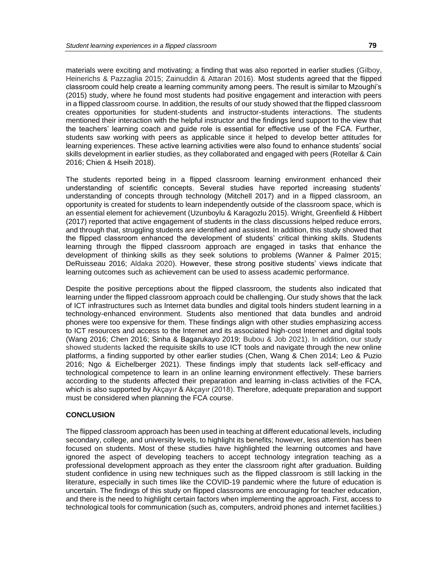materials were exciting and motivating; a finding that was also reported in earlier studies (Gilboy, Heinerichs & Pazzaglia 2015; Zainuddin & Attaran 2016). Most students agreed that the flipped classroom could help create a learning community among peers. The result is similar to Mzoughi's (2015) study, where he found most students had positive engagement and interaction with peers in a flipped classroom course. In addition, the results of our study showed that the flipped classroom creates opportunities for student-students and instructor-students interactions. The students mentioned their interaction with the helpful instructor and the findings lend support to the view that the teachers' learning coach and guide role is essential for effective use of the FCA. Further, students saw working with peers as applicable since it helped to develop better attitudes for learning experiences. These active learning activities were also found to enhance students' social skills development in earlier studies, as they collaborated and engaged with peers (Rotellar & Cain 2016; Chien & Hseih 2018).

The students reported being in a flipped classroom learning environment enhanced their understanding of scientific concepts. Several studies have reported increasing students' understanding of concepts through technology (Mitchell 2017) and in a flipped classroom, an opportunity is created for students to learn independently outside of the classroom space, which is an essential element for achievement (Uzunboylu & Karagozlu 2015). Wright, Greenfield & Hibbert (2017) reported that active engagement of students in the class discussions helped reduce errors, and through that, struggling students are identified and assisted. In addition, this study showed that the flipped classroom enhanced the development of students' critical thinking skills. Students learning through the flipped classroom approach are engaged in tasks that enhance the development of thinking skills as they seek solutions to problems (Wanner & Palmer 2015; DeRuisseau 2016; Aldaka 2020). However, these strong positive students' views indicate that learning outcomes such as achievement can be used to assess academic performance.

Despite the positive perceptions about the flipped classroom, the students also indicated that learning under the flipped classroom approach could be challenging. Our study shows that the lack of ICT infrastructures such as Internet data bundles and digital tools hinders student learning in a technology-enhanced environment. Students also mentioned that data bundles and android phones were too expensive for them. These findings align with other studies emphasizing access to ICT resources and access to the Internet and its associated high-cost Internet and digital tools (Wang 2016; Chen 2016; Sinha & Bagarukayo 2019; Bubou & Job 2021). In addition, our study showed students lacked the requisite skills to use ICT tools and navigate through the new online platforms, a finding supported by other earlier studies (Chen, Wang & Chen 2014; Leo & Puzio 2016; Ngo & Eichelberger 2021). These findings imply that students lack self-efficacy and technological competence to learn in an online learning environment effectively. These barriers according to the students affected their preparation and learning in-class activities of the FCA, which is also supported by Akçayır & Akçayır (2018). Therefore, adequate preparation and support must be considered when planning the FCA course.

#### **CONCLUSION**

The flipped classroom approach has been used in teaching at different educational levels, including secondary, college, and university levels, to highlight its benefits; however, less attention has been focused on students. Most of these studies have highlighted the learning outcomes and have ignored the aspect of developing teachers to accept technology integration teaching as a professional development approach as they enter the classroom right after graduation. Building student confidence in using new techniques such as the flipped classroom is still lacking in the literature, especially in such times like the COVID-19 pandemic where the future of education is uncertain. The findings of this study on flipped classrooms are encouraging for teacher education, and there is the need to highlight certain factors when implementing the approach. First, access to technological tools for communication (such as, computers, android phones and internet facilities.)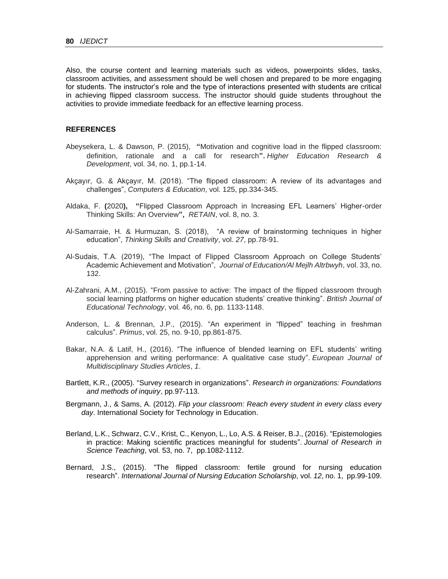Also, the course content and learning materials such as videos, powerpoints slides, tasks, classroom activities, and assessment should be well chosen and prepared to be more engaging for students. The instructor's role and the type of interactions presented with students are critical in achieving flipped classroom success. The instructor should guide students throughout the activities to provide immediate feedback for an effective learning process.

### **REFERENCES**

- Abeysekera, L. & Dawson, P. (2015), **"**Motivation and cognitive load in the flipped classroom: definition, rationale and a call for research**".** *Higher Education Research & Development*, vol. 34, no. 1, pp.1-14.
- Akçayır, G. & Akçayır, M. (2018). "The flipped classroom: A review of its advantages and challenges", *Computers & Education*, vol. 125, pp.334-345.
- Aldaka, F. **(**2020**), "**Flipped Classroom Approach in Increasing EFL Learners' Higher-order Thinking Skills: An Overview**",** *RETAIN*, vol. 8, no. 3.
- Al-Samarraie, H. & Hurmuzan, S. (2018), "A review of brainstorming techniques in higher education", *Thinking Skills and Creativity*, vol. *27*, pp.78-91.
- Al-Sudais, T.A. (2019), "The Impact of Flipped Classroom Approach on College Students' Academic Achievement and Motivation", *Journal of Education/Al Mejlh Altrbwyh*, vol. 33, no. 132.
- Al-Zahrani, A.M., (2015). "From passive to active: The impact of the flipped classroom through social learning platforms on higher education students' creative thinking". *British Journal of Educational Technology*, vol. 46, no. 6, pp. 1133-1148.
- Anderson, L. & Brennan, J.P., (2015). "An experiment in "flipped" teaching in freshman calculus". *Primus*, vol. 25, no. 9-10, pp.861-875.
- Bakar, N.A. & Latif, H., (2016). "The influence of blended learning on EFL students' writing apprehension and writing performance: A qualitative case study". *European Journal of Multidisciplinary Studies Articles*, *1*.
- Bartlett, K.R., (2005). "Survey research in organizations". *Research in organizations: Foundations and methods of inquiry*, pp.97-113.
- Bergmann, J., & Sams, A. (2012). *Flip your classroom: Reach every student in every class every day*. International Society for Technology in Education.
- Berland, L.K., Schwarz, C.V., Krist, C., Kenyon, L., Lo, A.S. & Reiser, B.J., (2016). "Epistemologies in practice: Making scientific practices meaningful for students". *Journal of Research in Science Teaching*, vol. 53, no. 7, pp.1082-1112.
- Bernard, J.S., (2015). "The flipped classroom: fertile ground for nursing education research". *International Journal of Nursing Education Scholarship*, vol. *12*, no. 1, pp.99-109.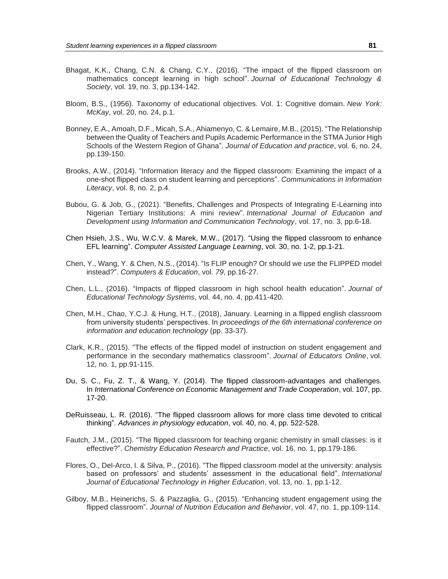- Bhagat, K.K., Chang, C.N. & Chang, C.Y., (2016). "The impact of the flipped classroom on mathematics concept learning in high school". *Journal of Educational Technology & Society*, vol. 19, no. 3, pp.134-142.
- Bloom, B.S., (1956). Taxonomy of educational objectives. Vol. 1: Cognitive domain. *New York: McKay*, vol. 20, no. 24, p.1.
- Bonney, E.A., Amoah, D.F., Micah, S.A., Ahiamenyo, C. & Lemaire, M.B., (2015). "The Relationship between the Quality of Teachers and Pupils Academic Performance in the STMA Junior High Schools of the Western Region of Ghana". *Journal of Education and practice*, vol. 6, no. 24, pp.139-150.
- Brooks, A.W., (2014). "Information literacy and the flipped classroom: Examining the impact of a one-shot flipped class on student learning and perceptions". *Communications in Information Literacy*, vol. 8, no. 2, p.4.
- Bubou, G. & Job, G., (2021). "Benefits, Challenges and Prospects of Integrating E-Learning into Nigerian Tertiary Institutions: A mini review". *International Journal of Education and Development using Information and Communication Technology*, vol. 17, no. 3, pp.6-18.
- Chen Hsieh, J.S., Wu, W.C.V. & Marek, M.W., (2017). "Using the flipped classroom to enhance EFL learning". *Computer Assisted Language Learning*, vol. 30, no. 1-2, pp.1-21.
- Chen, Y., Wang, Y. & Chen, N.S., (2014). "Is FLIP enough? Or should we use the FLIPPED model instead?". *Computers & Education*, vol. *79*, pp.16-27.
- Chen, L.L., (2016). "Impacts of flipped classroom in high school health education". *Journal of Educational Technology Systems*, vol. 44, no. 4, pp.411-420.
- Chen, M.H., Chao, Y.C.J. & Hung, H.T., (2018), January. Learning in a flipped english classroom from university students' perspectives. In *proceedings of the 6th international conference on information and education technology* (pp. 33-37).
- Clark, K.R., (2015). "The effects of the flipped model of instruction on student engagement and performance in the secondary mathematics classroom". *Journal of Educators Online*, vol. 12, no. 1, pp.91-115.
- Du, S. C., Fu, Z. T., & Wang, Y. (2014). The flipped classroom-advantages and challenges. In *International Conference on Economic Management and Trade Cooperation*, vol. 107, pp. 17-20.
- DeRuisseau, L. R. (2016). "The flipped classroom allows for more class time devoted to critical thinking". *Advances in physiology education*, vol. 40, no. 4, pp. 522-528.
- Fautch, J.M., (2015). "The flipped classroom for teaching organic chemistry in small classes: is it effective?". *Chemistry Education Research and Practice*, vol. 16, no. 1, pp.179-186.
- Flores, O., Del-Arco, I. & Silva, P., (2016). "The flipped classroom model at the university: analysis based on professors' and students' assessment in the educational field". *International Journal of Educational Technology in Higher Education*, vol. 13, no. 1, pp.1-12.
- Gilboy, M.B., Heinerichs, S. & Pazzaglia, G., (2015). "Enhancing student engagement using the flipped classroom". *Journal of Nutrition Education and Behavior*, vol. 47, no. 1, pp.109-114.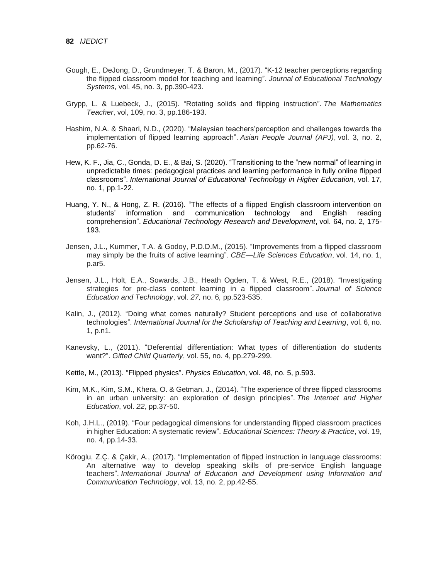- Gough, E., DeJong, D., Grundmeyer, T. & Baron, M., (2017). "K-12 teacher perceptions regarding the flipped classroom model for teaching and learning". *Journal of Educational Technology Systems*, vol. 45, no. 3, pp.390-423.
- Grypp, L. & Luebeck, J., (2015). "Rotating solids and flipping instruction". *The Mathematics Teacher*, vol, 109, no. 3, pp.186-193.
- Hashim, N.A. & Shaari, N.D., (2020). "Malaysian teachers'perception and challenges towards the implementation of flipped learning approach". *Asian People Journal (APJ)*, vol. 3, no. 2, pp.62-76.
- Hew, K. F., Jia, C., Gonda, D. E., & Bai, S. (2020). "Transitioning to the "new normal" of learning in unpredictable times: pedagogical practices and learning performance in fully online flipped classrooms". *International Journal of Educational Technology in Higher Education*, vol. 17, no. 1, pp.1-22.
- Huang, Y. N., & Hong, Z. R. (2016). "The effects of a flipped English classroom intervention on students' information and communication technology and English reading comprehension". *Educational Technology Research and Development*, vol. 64, no. 2, 175- 193.
- Jensen, J.L., Kummer, T.A. & Godoy, P.D.D.M., (2015). "Improvements from a flipped classroom may simply be the fruits of active learning". *CBE—Life Sciences Education*, vol. 14, no. 1, p.ar5.
- Jensen, J.L., Holt, E.A., Sowards, J.B., Heath Ogden, T. & West, R.E., (2018). "Investigating strategies for pre-class content learning in a flipped classroom". *Journal of Science Education and Technology*, vol. *27,* no. 6*,* pp.523-535.
- Kalin, J., (2012). "Doing what comes naturally? Student perceptions and use of collaborative technologies". *International Journal for the Scholarship of Teaching and Learning*, vol. 6, no. 1, p.n1.
- Kanevsky, L., (2011). "Deferential differentiation: What types of differentiation do students want?". *Gifted Child Quarterly*, vol. 55, no. 4, pp.279-299.
- Kettle, M., (2013). "Flipped physics". *Physics Education*, vol. 48, no. 5, p.593.
- Kim, M.K., Kim, S.M., Khera, O. & Getman, J., (2014). "The experience of three flipped classrooms in an urban university: an exploration of design principles". *The Internet and Higher Education*, vol. *22*, pp.37-50.
- Koh, J.H.L., (2019). "Four pedagogical dimensions for understanding flipped classroom practices in higher Education: A systematic review". *Educational Sciences: Theory & Practice*, vol. 19, no. 4, pp.14-33.
- Köroglu, Z.Ç. & Çakir, A., (2017). "Implementation of flipped instruction in language classrooms: An alternative way to develop speaking skills of pre-service English language teachers". *International Journal of Education and Development using Information and Communication Technology*, vol. 13, no. 2, pp.42-55.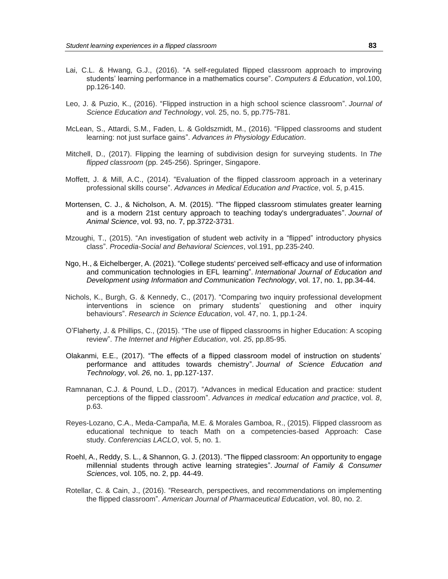- Lai, C.L. & Hwang, G.J., (2016). "A self-regulated flipped classroom approach to improving students' learning performance in a mathematics course". *Computers & Education*, vol.100, pp.126-140.
- Leo, J. & Puzio, K., (2016). "Flipped instruction in a high school science classroom". *Journal of Science Education and Technology*, vol. 25, no. 5, pp.775-781.
- McLean, S., Attardi, S.M., Faden, L. & Goldszmidt, M., (2016). "Flipped classrooms and student learning: not just surface gains". *Advances in Physiology Education*.
- Mitchell, D., (2017). Flipping the learning of subdivision design for surveying students. In *The flipped classroom* (pp. 245-256). Springer, Singapore.
- Moffett, J. & Mill, A.C., (2014). "Evaluation of the flipped classroom approach in a veterinary professional skills course". *Advances in Medical Education and Practice*, vol. *5*, p.415.
- Mortensen, C. J., & Nicholson, A. M. (2015). "The flipped classroom stimulates greater learning and is a modern 21st century approach to teaching today's undergraduates". *Journal of Animal Science*, vol. 93, no. 7, pp.3722-3731.
- Mzoughi, T., (2015). "An investigation of student web activity in a "flipped" introductory physics class". *Procedia-Social and Behavioral Sciences*, vol.191, pp.235-240.
- Ngo, H., & Eichelberger, A. (2021). "College students' perceived self-efficacy and use of information and communication technologies in EFL learning". *International Journal of Education and Development using Information and Communication Technology*, vol. 17, no. 1, pp.34-44.
- Nichols, K., Burgh, G. & Kennedy, C., (2017). "Comparing two inquiry professional development interventions in science on primary students' questioning and other inquiry behaviours". *Research in Science Education*, vol. 47, no. 1, pp.1-24.
- O'Flaherty, J. & Phillips, C., (2015). "The use of flipped classrooms in higher Education: A scoping review". *The Internet and Higher Education*, vol. *25*, pp.85-95.
- Olakanmi, E.E., (2017). "The effects of a flipped classroom model of instruction on students' performance and attitudes towards chemistry". *Journal of Science Education and Technology*, vol. *26,* no. 1, pp.127-137.
- Ramnanan, C.J. & Pound, L.D., (2017). "Advances in medical Education and practice: student perceptions of the flipped classroom". *Advances in medical education and practice*, vol. *8*, p.63.
- Reyes-Lozano, C.A., Meda-Campaña, M.E. & Morales Gamboa, R., (2015). Flipped classroom as educational technique to teach Math on a competencies-based Approach: Case study. *Conferencias LACLO*, vol. 5, no. 1.
- Roehl, A., Reddy, S. L., & Shannon, G. J. (2013). "The flipped classroom: An opportunity to engage millennial students through active learning strategies". *Journal of Family & Consumer Sciences*, vol. 105, no. 2, pp. 44-49.
- Rotellar, C. & Cain, J., (2016). "Research, perspectives, and recommendations on implementing the flipped classroom". *American Journal of Pharmaceutical Education*, vol. 80, no. 2.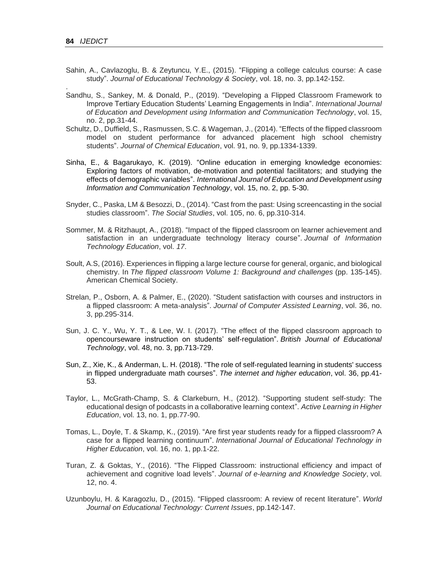.

- Sahin, A., Cavlazoglu, B. & Zeytuncu, Y.E., (2015). "Flipping a college calculus course: A case study". *Journal of Educational Technology & Society*, vol. 18, no. 3, pp.142-152.
- Sandhu, S., Sankey, M. & Donald, P., (2019). "Developing a Flipped Classroom Framework to Improve Tertiary Education Students' Learning Engagements in India". *International Journal of Education and Development using Information and Communication Technology*, vol. 15, no. 2, pp.31-44.
- Schultz, D., Duffield, S., Rasmussen, S.C. & Wageman, J., (2014). "Effects of the flipped classroom model on student performance for advanced placement high school chemistry students". *Journal of Chemical Education*, vol. 91, no. 9, pp.1334-1339.
- Sinha, E., & Bagarukayo, K. (2019). "Online education in emerging knowledge economies: Exploring factors of motivation, de-motivation and potential facilitators; and studying the effects of demographic variables". *International Journal of Education and Development using Information and Communication Technology*, vol. 15, no. 2, pp. 5-30.
- Snyder, C., Paska, LM & Besozzi, D., (2014). "Cast from the past: Using screencasting in the social studies classroom". *The Social Studies*, vol. 105, no. 6, pp.310-314.
- Sommer, M. & Ritzhaupt, A., (2018). "Impact of the flipped classroom on learner achievement and satisfaction in an undergraduate technology literacy course". *Journal of Information Technology Education*, vol. *17*.
- Soult, A.S, (2016). Experiences in flipping a large lecture course for general, organic, and biological chemistry. In *The flipped classroom Volume 1: Background and challenges* (pp. 135-145). American Chemical Society.
- Strelan, P., Osborn, A. & Palmer, E., (2020). "Student satisfaction with courses and instructors in a flipped classroom: A meta‐analysis". *Journal of Computer Assisted Learning*, vol. 36, no. 3, pp.295-314.
- Sun, J. C. Y., Wu, Y. T., & Lee, W. I. (2017). "The effect of the flipped classroom approach to opencourseware instruction on students' self‐regulation". *British Journal of Educational Technology*, vol. 48, no. 3, pp.713-729.
- Sun, Z., Xie, K., & Anderman, L. H. (2018). "The role of self-regulated learning in students' success in flipped undergraduate math courses". *The internet and higher education*, vol. 36, pp.41- 53.
- Taylor, L., McGrath-Champ, S. & Clarkeburn, H., (2012). "Supporting student self-study: The educational design of podcasts in a collaborative learning context". *Active Learning in Higher Education*, vol. 13, no. 1, pp.77-90.
- Tomas, L., Doyle, T. & Skamp, K., (2019). "Are first year students ready for a flipped classroom? A case for a flipped learning continuum". *International Journal of Educational Technology in Higher Education*, vol. 16, no. 1, pp.1-22.
- Turan, Z. & Goktas, Y., (2016). "The Flipped Classroom: instructional efficiency and impact of achievement and cognitive load levels". *Journal of e-learning and Knowledge Society*, vol. 12, no. 4.
- Uzunboylu, H. & Karagozlu, D., (2015). "Flipped classroom: A review of recent literature". *World Journal on Educational Technology: Current Issues*, pp.142-147.